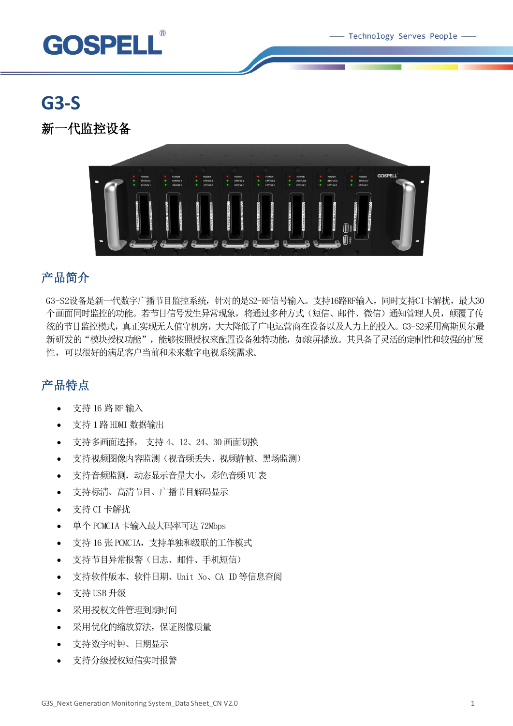Technology Serves People -



# **G3-S**

新一代监控设备



### 产品简介

G3-S2设备是新一代数字广播节目监控系统,针对的是S2-RF信号输入。支持16路RF输入,同时支持CI卡解扰,最大30 个画面同时监控的功能。若节目信号发生异常现象,将通过多种方式(短信、邮件、微信)通知管理人员,颠覆了传 统的节目监控模式,真正实现无人值守机房,大大降低了广电运营商在设备以及人力上的投入。G3-S2采用高斯贝尔最 新研发的"模块授权功能",能够按照授权来配置设备独特功能,如滚屏播放。其具备了灵活的定制性和较强的扩展 性,可以很好的满足客户当前和未来数字电视系统需求。

### 产品特点

- 支持 16 路 RF输入
- 支持 1 路 HDMI 数据输出
- 支持多画面选择, 支持 4、12、24、30 画面切换
- 支持视频图像内容监测(视音频丢失、视频静帧、黑场监测)
- 支持音频监测,动态显示音量大小,彩色音频 VU表
- 支持标清、高清节目、广播节目解码显示
- 支持 CI 卡解扰
- 单个 PCMCIA 卡输入最大码率可达 72Mbps
- 支持 16 张 PCMCIA,支持单独和级联的工作模式
- 支持节目异常报警(日志、邮件、手机短信)
- 支持软件版本、软件日期、Unit\_No、CA\_ID 等信息查阅
- 支持 USB 升级
- 采用授权文件管理到期时间
- 采用优化的缩放算法,保证图像质量
- 支持数字时钟、日期显示
- 支持分级授权短信实时报警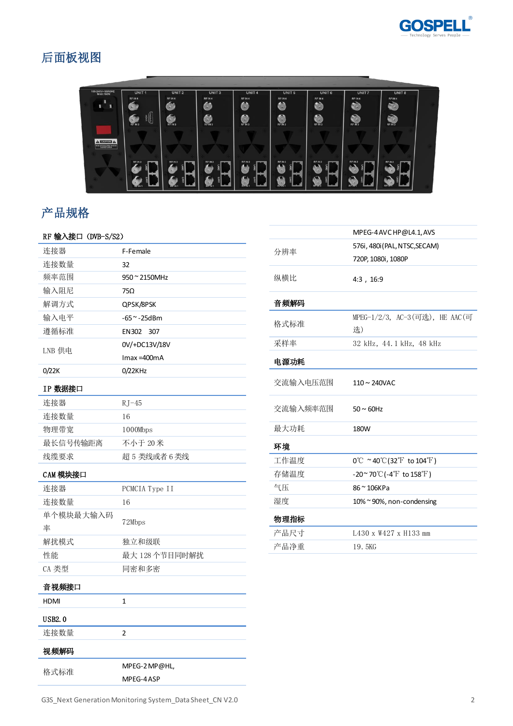

## 后面板视图



## 产品规格

| RF 输入接口 (DVB-S/S2) |                |
|--------------------|----------------|
| 连接器                | F-Female       |
| 连接数量               | 32             |
| 频率范围               | 950 ~ 2150MHz  |
| 输入阻尼               | 75Ω            |
| 解调方式               | QPSK/8PSK      |
| 输入电平               | $-65 - 25dBm$  |
| 遵循标准               | EN302<br>307   |
| LNB 供电             | 0V/+DC13V/18V  |
|                    | $Imax = 400mA$ |
| 0/22K              | 0/22KHz        |
| IP 数据接口            |                |
| 连接器                | $RJ-45$        |
| 连接数量               | 16             |
| 物理带宽               | 1000Mbps       |
| 最长信号传输距离           | 不小于 20米        |
| 线缆要求               | 超 5 类线或者 6 类线  |
| CAM 模块接口           |                |
| 连接器                | PCMCIA Type II |
| 连接数量               | 16             |
| 单个模块最大输入码          | 72Mbps         |
| 率                  |                |
| 解扰模式               | 独立和级联          |
| 性能                 | 最大 128个节目同时解扰  |
| CA 类型              | 同密和多密          |
| 音视频接口              |                |
| <b>HDMI</b>        | 1              |
| <b>USB2.0</b>      |                |
| 连接数量               | 2              |

|          | MPEG-4 AVC HP@L4.1, AVS                                            |
|----------|--------------------------------------------------------------------|
| 分辨率      | 576i, 480i (PAL, NTSC, SECAM)                                      |
|          | 720P, 1080i, 1080P                                                 |
| 纵横比      | 4:3, 16:9                                                          |
| 音频解码     |                                                                    |
| 格式标准     | MPEG-1/2/3, AC-3(可选), HE AAC(可                                     |
|          | 选)                                                                 |
| 采样率      | 32 kHz, 44.1 kHz, 48 kHz                                           |
| 电源功耗     |                                                                    |
| 交流输入电压范围 | $110 \sim 240$ VAC                                                 |
| 交流输入频率范围 | $50 \sim 60$ Hz                                                    |
| 最大功耗     | 180W                                                               |
| 环境       |                                                                    |
| 工作温度     | $0^{\circ}$ ~ 40 $^{\circ}$ C(32 $^{\circ}$ F to 104 $^{\circ}$ F) |
| 存储温度     | $-20^\sim 70^\circ\text{C}$ (-4 $\text{F}$ to 158 $\text{F}$ )     |
| 气压       | 86~106KPa                                                          |
| 湿度       | 10% ~ 90%, non-condensing                                          |
| 物理指标     |                                                                    |
| 产品尺寸     | L430 x W427 x H133 mm                                              |
| 产品净重     | 19.5KG                                                             |
|          |                                                                    |

MPEG-4 ASP

格式标准 MPEG-2 MP@HL,

视频解码